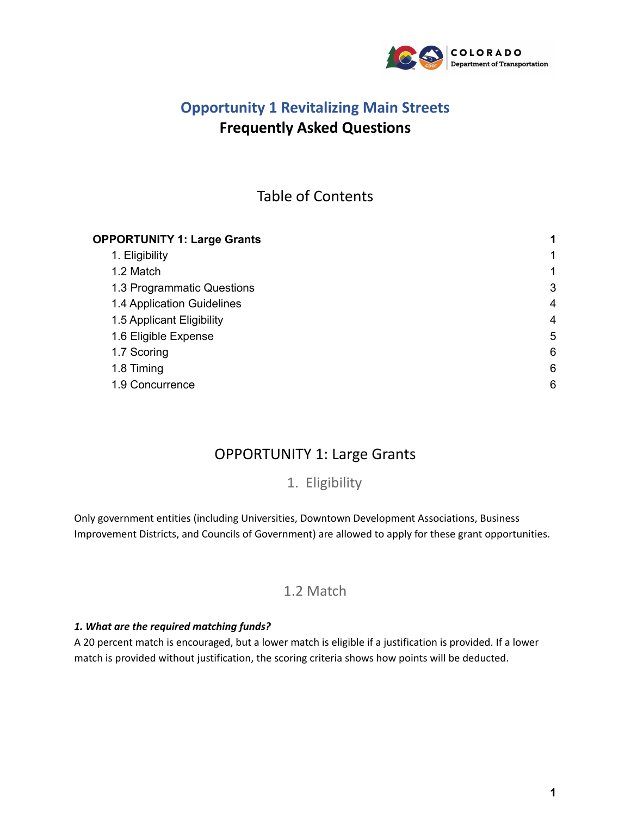

# **Opportunity 1 Revitalizing Main Streets Frequently Asked Questions**

# Table of Contents

| <b>OPPORTUNITY 1: Large Grants</b> | 1<br>$\mathbf{1}$<br>1 |
|------------------------------------|------------------------|
| 1. Eligibility                     |                        |
| 1.2 Match                          |                        |
| 1.3 Programmatic Questions         | 3                      |
| 1.4 Application Guidelines         | 4                      |
| 1.5 Applicant Eligibility          | $\overline{4}$         |
| 1.6 Eligible Expense               | 5                      |
| 1.7 Scoring                        | 6                      |
| 1.8 Timing                         | 6                      |
| 1.9 Concurrence                    | 6                      |

# OPPORTUNITY 1: Large Grants

1. Eligibility

<span id="page-0-2"></span><span id="page-0-1"></span><span id="page-0-0"></span>Only government entities (including Universities, Downtown Development Associations, Business Improvement Districts, and Councils of Government) are allowed to apply for these grant opportunities.

## 1.2 Match

## *1. What are the required matching funds?*

A 20 percent match is encouraged, but a lower match is eligible if a justification is provided. If a lower match is provided without justification, the scoring criteria shows how points will be deducted.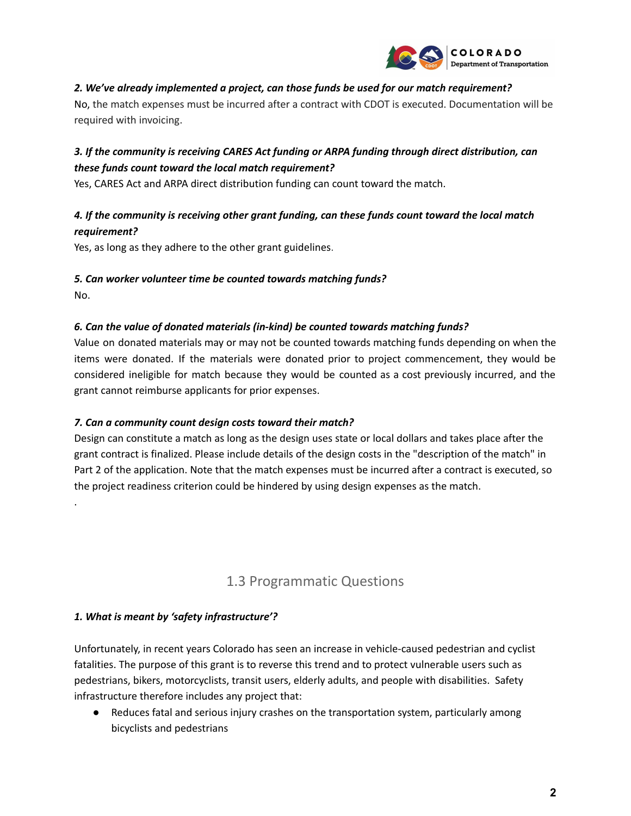

### *2. We've already implemented a project, can those funds be used for our match requirement?*

No, the match expenses must be incurred after a contract with CDOT is executed. Documentation will be required with invoicing.

## *3. If the community is receiving CARES Act funding or ARPA funding through direct distribution, can these funds count toward the local match requirement?*

Yes, CARES Act and ARPA direct distribution funding can count toward the match.

## *4. If the community is receiving other grant funding, can these funds count toward the local match requirement?*

Yes, as long as they adhere to the other grant guidelines.

#### *5. Can worker volunteer time be counted towards matching funds?*

No.

.

#### *6. Can the value of donated materials (in-kind) be counted towards matching funds?*

Value on donated materials may or may not be counted towards matching funds depending on when the items were donated. If the materials were donated prior to project commencement, they would be considered ineligible for match because they would be counted as a cost previously incurred, and the grant cannot reimburse applicants for prior expenses.

#### *7. Can a community count design costs toward their match?*

Design can constitute a match as long as the design uses state or local dollars and takes place after the grant contract is finalized. Please include details of the design costs in the "description of the match" in Part 2 of the application. Note that the match expenses must be incurred after a contract is executed, so the project readiness criterion could be hindered by using design expenses as the match.

## 1.3 Programmatic Questions

#### <span id="page-1-0"></span>*1. What is meant by 'safety infrastructure'?*

Unfortunately, in recent years Colorado has seen an increase in vehicle-caused pedestrian and cyclist fatalities. The purpose of this grant is to reverse this trend and to protect vulnerable users such as pedestrians, bikers, motorcyclists, transit users, elderly adults, and people with disabilities. Safety infrastructure therefore includes any project that:

● Reduces fatal and serious injury crashes on the transportation system, particularly among bicyclists and pedestrians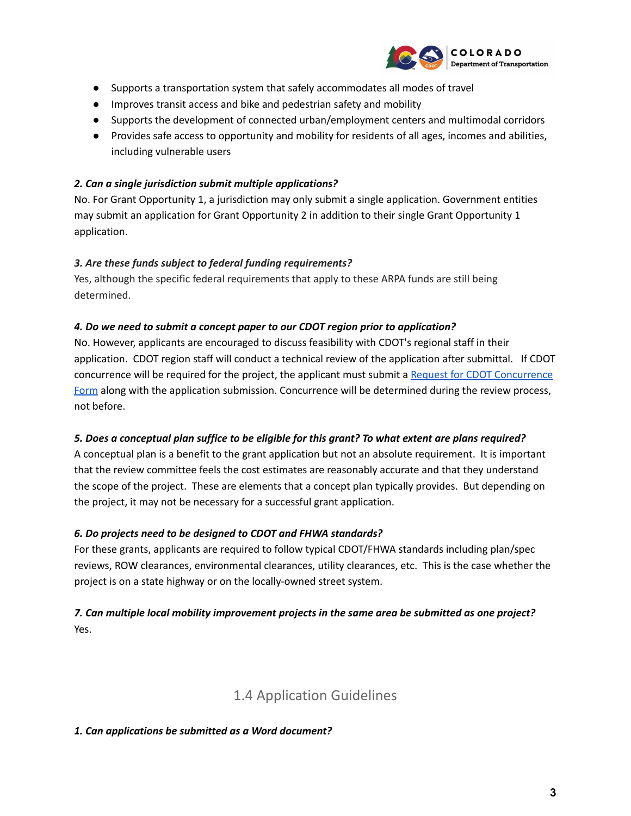

- Supports a transportation system that safely accommodates all modes of travel
- Improves transit access and bike and pedestrian safety and mobility
- Supports the development of connected urban/employment centers and multimodal corridors
- Provides safe access to opportunity and mobility for residents of all ages, incomes and abilities, including vulnerable users

### *2. Can a single jurisdiction submit multiple applications?*

No. For Grant Opportunity 1, a jurisdiction may only submit a single application. Government entities may submit an application for Grant Opportunity 2 in addition to their single Grant Opportunity 1 application.

### *3. Are these funds subject to federal funding requirements?*

Yes, although the specific federal requirements that apply to these ARPA funds are still being determined.

#### *4. Do we need to submit a concept paper to our CDOT region prior to application?*

No. However, applicants are encouraged to discuss feasibility with CDOT's regional staff in their application. CDOT region staff will conduct a technical review of the application after submittal. If CDOT concurrence will be required for the project, the applicant must submit a Request for CDOT [Concurrence](https://www.codot.gov/programs/safermainstreets/assets/concurrence.pdf) [Form](https://www.codot.gov/programs/safermainstreets/assets/concurrence.pdf) along with the application submission. Concurrence will be determined during the review process, not before.

## 5. Does a conceptual plan suffice to be eligible for this grant? To what extent are plans required?

A conceptual plan is a benefit to the grant application but not an absolute requirement. It is important that the review committee feels the cost estimates are reasonably accurate and that they understand the scope of the project. These are elements that a concept plan typically provides. But depending on the project, it may not be necessary for a successful grant application.

## *6. Do projects need to be designed to CDOT and FHWA standards?*

For these grants, applicants are required to follow typical CDOT/FHWA standards including plan/spec reviews, ROW clearances, environmental clearances, utility clearances, etc. This is the case whether the project is on a state highway or on the locally-owned street system.

## *7. Can multiple local mobility improvement projects in the same area be submitted as one project?* Yes.

# 1.4 Application Guidelines

#### <span id="page-2-0"></span>*1. Can applications be submitted as a Word document?*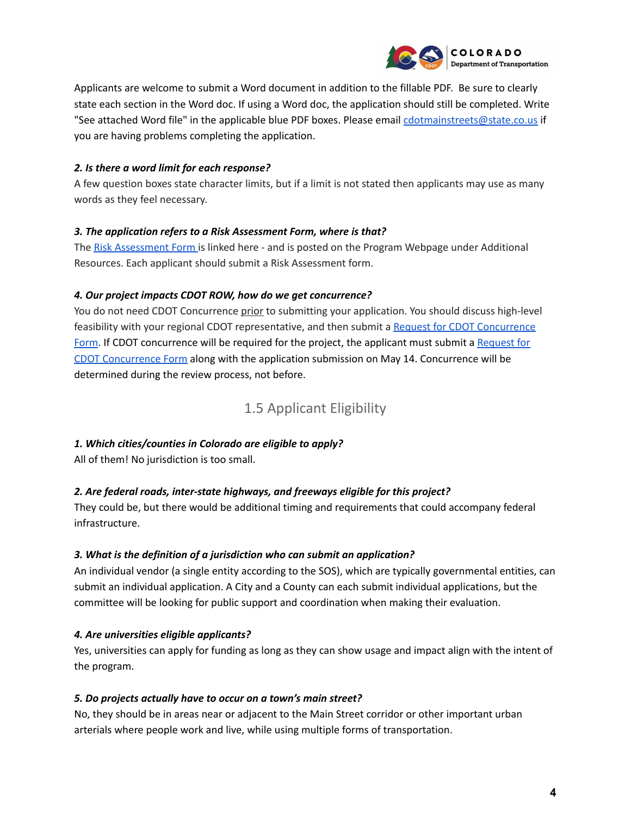

Applicants are welcome to submit a Word document in addition to the fillable PDF. Be sure to clearly state each section in the Word doc. If using a Word doc, the application should still be completed. Write "See attached Word file" in the applicable blue PDF boxes. Please email [cdotmainstreets@state.co.us](mailto:cdotmainstreets@state.co.us) if you are having problems completing the application.

### *2. Is there a word limit for each response?*

A few question boxes state character limits, but if a limit is not stated then applicants may use as many words as they feel necessary.

### *3. The application refers to a Risk Assessment Form, where is that?*

The Risk [Assessment](https://www.codot.gov/programs/revitalizingmainstreets/assets/risk-assessment-form-updated-dec21.pdf) Form is linked here - and is posted on the Program Webpage under Additional Resources. Each applicant should submit a Risk Assessment form.

### *4. Our project impacts CDOT ROW, how do we get concurrence?*

You do not need CDOT Concurrence prior to submitting your application. You should discuss high-level feasibility with your regional CDOT representative, and then submit a Request for CDOT [Concurrence](https://www.codot.gov/programs/safermainstreets/assets/concurrence.pdf) [Form](https://www.codot.gov/programs/safermainstreets/assets/concurrence.pdf). If CDOT concurrence will be required for the project, the applicant must submit a [Request](https://www.codot.gov/programs/safermainstreets/assets/concurrence.pdf) for CDOT [Concurrence](https://www.codot.gov/programs/safermainstreets/assets/concurrence.pdf) Form along with the application submission on May 14. Concurrence will be determined during the review process, not before.

## 1.5 Applicant Eligibility

## <span id="page-3-0"></span>*1. Which cities/counties in Colorado are eligible to apply?*

All of them! No jurisdiction is too small.

## *2. Are federal roads, inter-state highways, and freeways eligible for this project?*

They could be, but there would be additional timing and requirements that could accompany federal infrastructure.

#### *3. What is the definition of a jurisdiction who can submit an application?*

An individual vendor (a single entity according to the SOS), which are typically governmental entities, can submit an individual application. A City and a County can each submit individual applications, but the committee will be looking for public support and coordination when making their evaluation.

## *4. Are universities eligible applicants?*

Yes, universities can apply for funding as long as they can show usage and impact align with the intent of the program.

#### *5. Do projects actually have to occur on a town's main street?*

No, they should be in areas near or adjacent to the Main Street corridor or other important urban arterials where people work and live, while using multiple forms of transportation.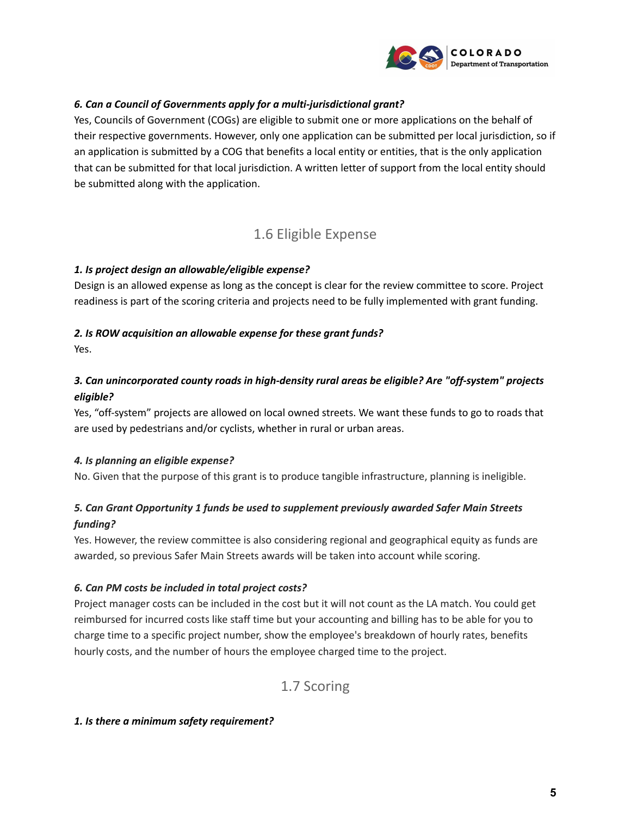

### *6. Can a Council of Governments apply for a multi-jurisdictional grant?*

Yes, Councils of Government (COGs) are eligible to submit one or more applications on the behalf of their respective governments. However, only one application can be submitted per local jurisdiction, so if an application is submitted by a COG that benefits a local entity or entities, that is the only application that can be submitted for that local jurisdiction. A written letter of support from the local entity should be submitted along with the application.

## 1.6 Eligible Expense

#### <span id="page-4-0"></span>*1. Is project design an allowable/eligible expense?*

Design is an allowed expense as long as the concept is clear for the review committee to score. Project readiness is part of the scoring criteria and projects need to be fully implemented with grant funding.

#### *2. Is ROW acquisition an allowable expense for these grant funds?*

Yes.

## *3. Can unincorporated county roads in high-density rural areas be eligible? Are "off-system" projects eligible?*

Yes, "off-system" projects are allowed on local owned streets. We want these funds to go to roads that are used by pedestrians and/or cyclists, whether in rural or urban areas.

#### *4. Is planning an eligible expense?*

No. Given that the purpose of this grant is to produce tangible infrastructure, planning is ineligible.

## *5. Can Grant Opportunity 1 funds be used to supplement previously awarded Safer Main Streets funding?*

Yes. However, the review committee is also considering regional and geographical equity as funds are awarded, so previous Safer Main Streets awards will be taken into account while scoring.

#### *6. Can PM costs be included in total project costs?*

Project manager costs can be included in the cost but it will not count as the LA match. You could get reimbursed for incurred costs like staff time but your accounting and billing has to be able for you to charge time to a specific project number, show the employee's breakdown of hourly rates, benefits hourly costs, and the number of hours the employee charged time to the project.

## 1.7 Scoring

#### <span id="page-4-1"></span>*1. Is there a minimum safety requirement?*